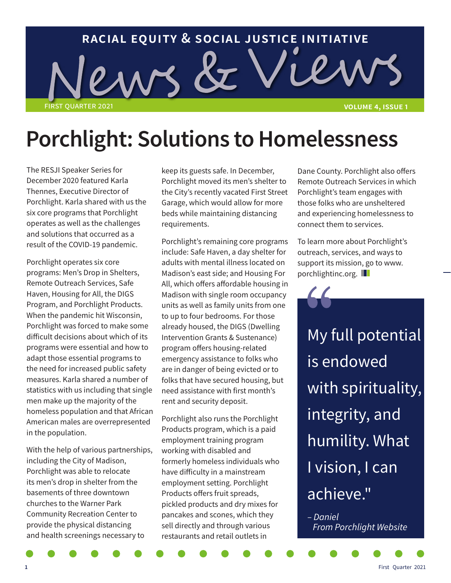

# **Porchlight: Solutions to Homelessness**

The RESJI Speaker Series for December 2020 featured Karla Thennes, Executive Director of Porchlight. Karla shared with us the six core programs that Porchlight operates as well as the challenges and solutions that occurred as a result of the COVID-19 pandemic.

Porchlight operates six core programs: Men's Drop in Shelters, Remote Outreach Services, Safe Haven, Housing for All, the DIGS Program, and Porchlight Products. When the pandemic hit Wisconsin, Porchlight was forced to make some difficult decisions about which of its programs were essential and how to adapt those essential programs to the need for increased public safety measures. Karla shared a number of statistics with us including that single men make up the majority of the homeless population and that African American males are overrepresented in the population.

With the help of various partnerships, including the City of Madison, Porchlight was able to relocate its men's drop in shelter from the basements of three downtown churches to the Warner Park Community Recreation Center to provide the physical distancing and health screenings necessary to

keep its guests safe. In December, Porchlight moved its men's shelter to the City's recently vacated First Street Garage, which would allow for more beds while maintaining distancing requirements.

Porchlight's remaining core programs include: Safe Haven, a day shelter for adults with mental illness located on Madison's east side; and Housing For All, which offers affordable housing in Madison with single room occupancy units as well as family units from one to up to four bedrooms. For those already housed, the DIGS (Dwelling Intervention Grants & Sustenance) program offers housing-related emergency assistance to folks who are in danger of being evicted or to folks that have secured housing, but need assistance with first month's rent and security deposit.

Porchlight also runs the Porchlight Products program, which is a paid employment training program working with disabled and formerly homeless individuals who have difficulty in a mainstream employment setting. Porchlight Products offers fruit spreads, pickled products and dry mixes for pancakes and scones, which they sell directly and through various restaurants and retail outlets in

Dane County. Porchlight also offers Remote Outreach Services in which Porchlight's team engages with those folks who are unsheltered and experiencing homelessness to connect them to services.

To learn more about Porchlight's outreach, services, and ways to support its mission, go to www. porchlightinc.org.

My full potential is endowed with spirituality, integrity, and humility. What I vision, I can achieve."

*– Daniel From Porchlight Website*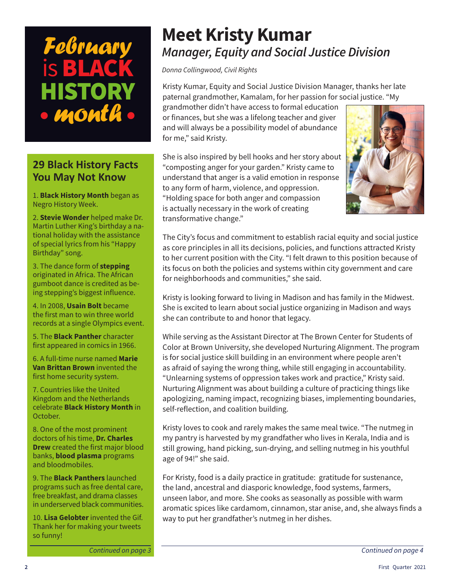

# **29 Black History Facts You May Not Know**

1. **Black History Month** began as Negro History Week.

2. **Stevie Wonder** helped make Dr. Martin Luther King's birthday a national holiday with the assistance of special lyrics from his "Happy Birthday" song.

3. The dance form of **stepping**  originated in Africa. The African gumboot dance is credited as being stepping's biggest influence.

4. In 2008, **Usain Bolt** became the first man to win three world records at a single Olympics event.

5. The **Black Panther** character first appeared in comics in 1966.

6. A full-time nurse named **Marie Van Brittan Brown** invented the first home security system.

7. Countries like the United Kingdom and the Netherlands celebrate **Black History Month** in October.

8. One of the most prominent doctors of his time, **Dr. Charles Drew** created the first major blood banks, **blood plasma** programs and bloodmobiles.

9. The **Black Panthers** launched programs such as free dental care, free breakfast, and drama classes in underserved black communities.

10. **Lisa Gelobter** invented the Gif. Thank her for making your tweets so funny!

# **Meet Kristy Kumar** *Manager, Equity and Social Justice Division*

*Donna Collingwood, Civil Rights*

Kristy Kumar, Equity and Social Justice Division Manager, thanks her late paternal grandmother, Kamalam, for her passion for social justice. "My

grandmother didn't have access to formal education or finances, but she was a lifelong teacher and giver and will always be a possibility model of abundance for me," said Kristy.

She is also inspired by bell hooks and her story about "composting anger for your garden." Kristy came to understand that anger is a valid emotion in response to any form of harm, violence, and oppression. "Holding space for both anger and compassion is actually necessary in the work of creating transformative change."



The City's focus and commitment to establish racial equity and social justice as core principles in all its decisions, policies, and functions attracted Kristy to her current position with the City. "I felt drawn to this position because of its focus on both the policies and systems within city government and care for neighborhoods and communities," she said.

Kristy is looking forward to living in Madison and has family in the Midwest. She is excited to learn about social justice organizing in Madison and ways she can contribute to and honor that legacy.

While serving as the Assistant Director at The Brown Center for Students of Color at Brown University, she developed Nurturing Alignment. The program is for social justice skill building in an environment where people aren't as afraid of saying the wrong thing, while still engaging in accountability. "Unlearning systems of oppression takes work and practice," Kristy said. Nurturing Alignment was about building a culture of practicing things like apologizing, naming impact, recognizing biases, implementing boundaries, self-reflection, and coalition building.

Kristy loves to cook and rarely makes the same meal twice. "The nutmeg in my pantry is harvested by my grandfather who lives in Kerala, India and is still growing, hand picking, sun-drying, and selling nutmeg in his youthful age of 94!" she said.

For Kristy, food is a daily practice in gratitude: gratitude for sustenance, the land, ancestral and diasporic knowledge, food systems, farmers, unseen labor, and more. She cooks as seasonally as possible with warm aromatic spices like cardamom, cinnamon, star anise, and, she always finds a way to put her grandfather's nutmeg in her dishes.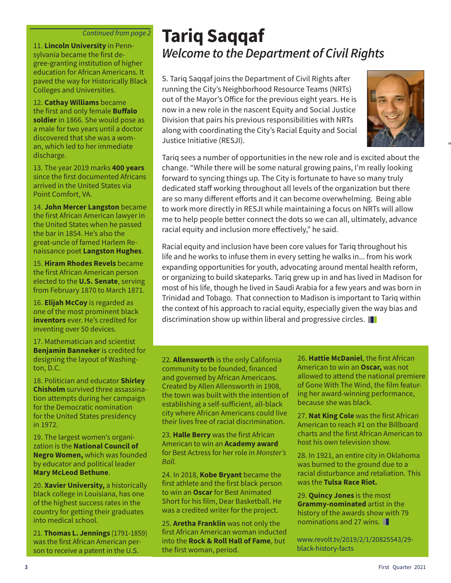#### *Continued from page 2*

sylvania became the first degree-granting institution of higher education for African Americans. It paved the way for Historically Black Colleges and Universities.

12. **Cathay Williams** became the first and only female **Buffalo soldier** in 1866. She would pose as a male for two years until a doctor discovered that she was a woman, which led to her immediate discharge.

13. The year 2019 marks **400 years**  since the first documented Africans arrived in the United States via Point Comfort, VA.

14. **John Mercer Langston** became the first African American lawyer in the United States when he passed the bar in 1854. He's also the great-uncle of famed Harlem Renaissance poet **Langston Hughes**.

15. **Hiram Rhodes Revels** became the first African American person elected to the **U.S. Senate**, serving from February 1870 to March 1871.

16. **Elijah McCoy** is regarded as one of the most prominent black **inventors** ever. He's credited for inventing over 50 devices.

17. Mathematician and scientist **Benjamin Banneker** is credited for designing the layout of Washington, D.C.

18. Politician and educator **Shirley Chisholm** survived three assassination attempts during her campaign for the Democratic nomination for the United States presidency in 1972.

19. The largest women's organization is the **National Council of Negro Women,** which was founded by educator and political leader **Mary McLeod Bethune**.

20. **Xavier University,** a historically black college in Louisiana, has one of the highest success rates in the country for getting their graduates into medical school.

21. **Thomas L. Jennings** (1791-1859) was the first African American person to receive a patent in the U.S.

# **Tariq Saqqaf** 11. **Lincoln University** in Penn-<br>sylvania became the first de-<br>**Welcome to the Department of Civil Rights**

S. Tariq Saqqaf joins the Department of Civil Rights after running the City's Neighborhood Resource Teams (NRTs) out of the Mayor's Office for the previous eight years. He is now in a new role in the nascent Equity and Social Justice Division that pairs his previous responsibilities with NRTs along with coordinating the City's Racial Equity and Social Justice Initiative (RESJI).



"...

Tariq sees a number of opportunities in the new role and is excited about the change. "While there will be some natural growing pains, I'm really looking forward to syncing things up. The City is fortunate to have so many truly dedicated staff working throughout all levels of the organization but there are so many different efforts and it can become overwhelming. Being able to work more directly in RESJI while maintaining a focus on NRTs will allow me to help people better connect the dots so we can all, ultimately, advance racial equity and inclusion more effectively," he said.

Racial equity and inclusion have been core values for Tariq throughout his life and he works to infuse them in every setting he walks in... from his work expanding opportunities for youth, advocating around mental health reform, or organizing to build skateparks. Tariq grew up in and has lived in Madison for most of his life, though he lived in Saudi Arabia for a few years and was born in Trinidad and Tobago. That connection to Madison is important to Tariq within the context of his approach to racial equity, especially given the way bias and discrimination show up within liberal and progressive circles.

22. **Allensworth** is the only California community to be founded, financed and governed by African Americans. Created by Allen Allensworth in 1908, the town was built with the intention of establishing a self-sufficient, all-black city where African Americans could live their lives free of racial discrimination.

23. **Halle Berry** was the first African American to win an **Academy award** for Best Actress for her role in *Monster's Ball.*

24. In 2018, **Kobe Bryant** became the first athlete and the first black person to win an **Oscar** for Best Animated Short for his film, Dear Basketball. He was a credited writer for the project.

25. **Aretha Franklin** was not only the first African American woman inducted into the **Rock & Roll Hall of Fame**, but the first woman, period.

26. **Hattie McDaniel**, the first African American to win an **Oscar,** was not allowed to attend the national premiere of Gone With The Wind, the film featuring her award-winning performance, because she was black.

27. **Nat King Cole** was the first African American to reach #1 on the Billboard charts and the first African American to host his own television show.

28. In 1921, an entire city in Oklahoma was burned to the ground due to a racial disturbance and retaliation. This was the **Tulsa Race Riot.**

29. **Quincy Jones** is the most **Grammy-nominated** artist in the history of the awards show with 79 nominations and 27 wins.

www.revolt.tv/2019/2/1/20825543/29 black-history-facts